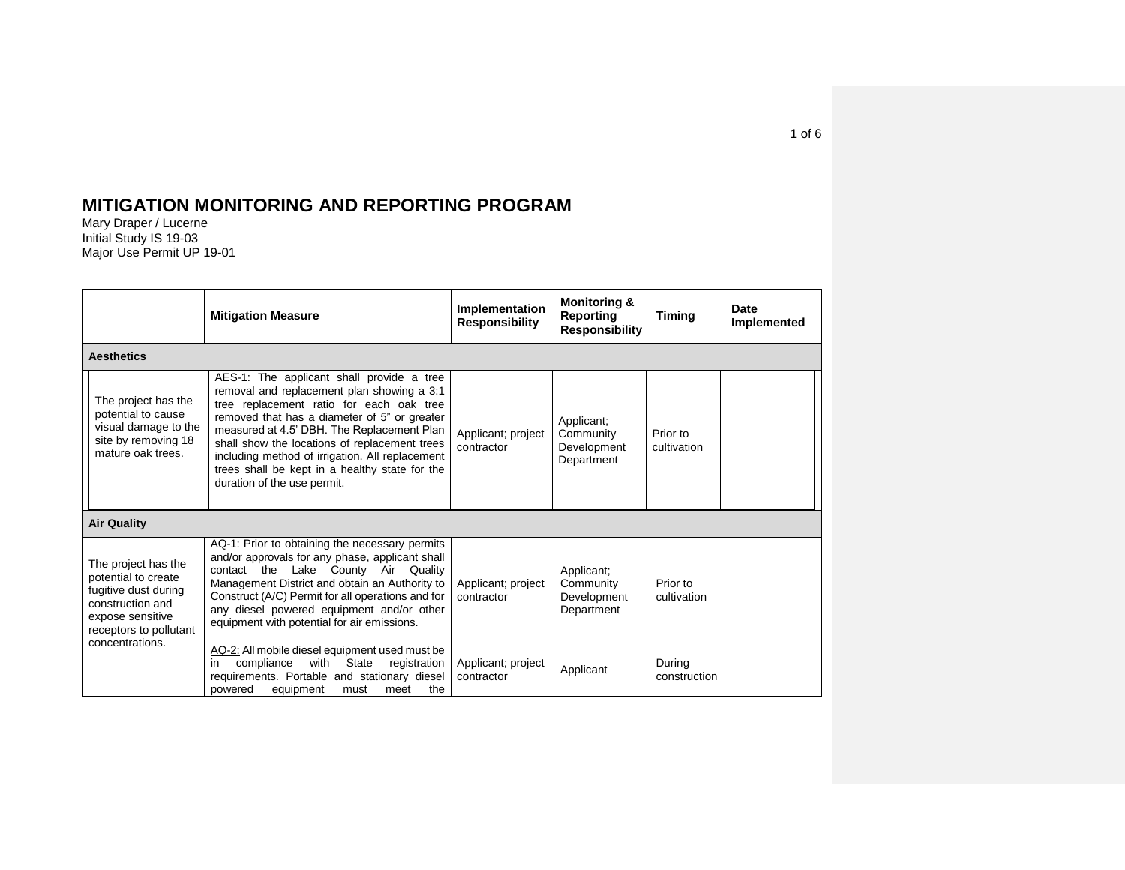## **MITIGATION MONITORING AND REPORTING PROGRAM**

Mary Draper / Lucerne Initial Study IS 19-03 Major Use Permit UP 19-01

|  |                                                                                                                                                         | <b>Mitigation Measure</b>                                                                                                                                                                                                                                                                                                                                                                                              | Implementation<br><b>Responsibility</b> | <b>Monitoring &amp;</b><br>Reporting<br><b>Responsibility</b> | <b>Timing</b>           | <b>Date</b><br>Implemented |  |  |
|--|---------------------------------------------------------------------------------------------------------------------------------------------------------|------------------------------------------------------------------------------------------------------------------------------------------------------------------------------------------------------------------------------------------------------------------------------------------------------------------------------------------------------------------------------------------------------------------------|-----------------------------------------|---------------------------------------------------------------|-------------------------|----------------------------|--|--|
|  | <b>Aesthetics</b>                                                                                                                                       |                                                                                                                                                                                                                                                                                                                                                                                                                        |                                         |                                                               |                         |                            |  |  |
|  | The project has the<br>potential to cause<br>visual damage to the<br>site by removing 18<br>mature oak trees.                                           | AES-1: The applicant shall provide a tree<br>removal and replacement plan showing a 3:1<br>tree replacement ratio for each oak tree<br>removed that has a diameter of 5" or greater<br>measured at 4.5' DBH. The Replacement Plan<br>shall show the locations of replacement trees<br>including method of irrigation. All replacement<br>trees shall be kept in a healthy state for the<br>duration of the use permit. | Applicant; project<br>contractor        | Applicant;<br>Community<br>Development<br>Department          | Prior to<br>cultivation |                            |  |  |
|  | <b>Air Quality</b>                                                                                                                                      |                                                                                                                                                                                                                                                                                                                                                                                                                        |                                         |                                                               |                         |                            |  |  |
|  | The project has the<br>potential to create<br>fugitive dust during<br>construction and<br>expose sensitive<br>receptors to pollutant<br>concentrations. | AQ-1: Prior to obtaining the necessary permits<br>and/or approvals for any phase, applicant shall<br>Lake County Air Quality<br>contact the<br>Management District and obtain an Authority to<br>Construct (A/C) Permit for all operations and for<br>any diesel powered equipment and/or other<br>equipment with potential for air emissions.                                                                         | Applicant; project<br>contractor        | Applicant;<br>Community<br>Development<br>Department          | Prior to<br>cultivation |                            |  |  |
|  |                                                                                                                                                         | AQ-2: All mobile diesel equipment used must be<br>with State<br>compliance<br>registration<br>in.<br>requirements. Portable and stationary diesel<br>the<br>powered<br>equipment<br>meet<br>must                                                                                                                                                                                                                       | Applicant; project<br>contractor        | Applicant                                                     | During<br>construction  |                            |  |  |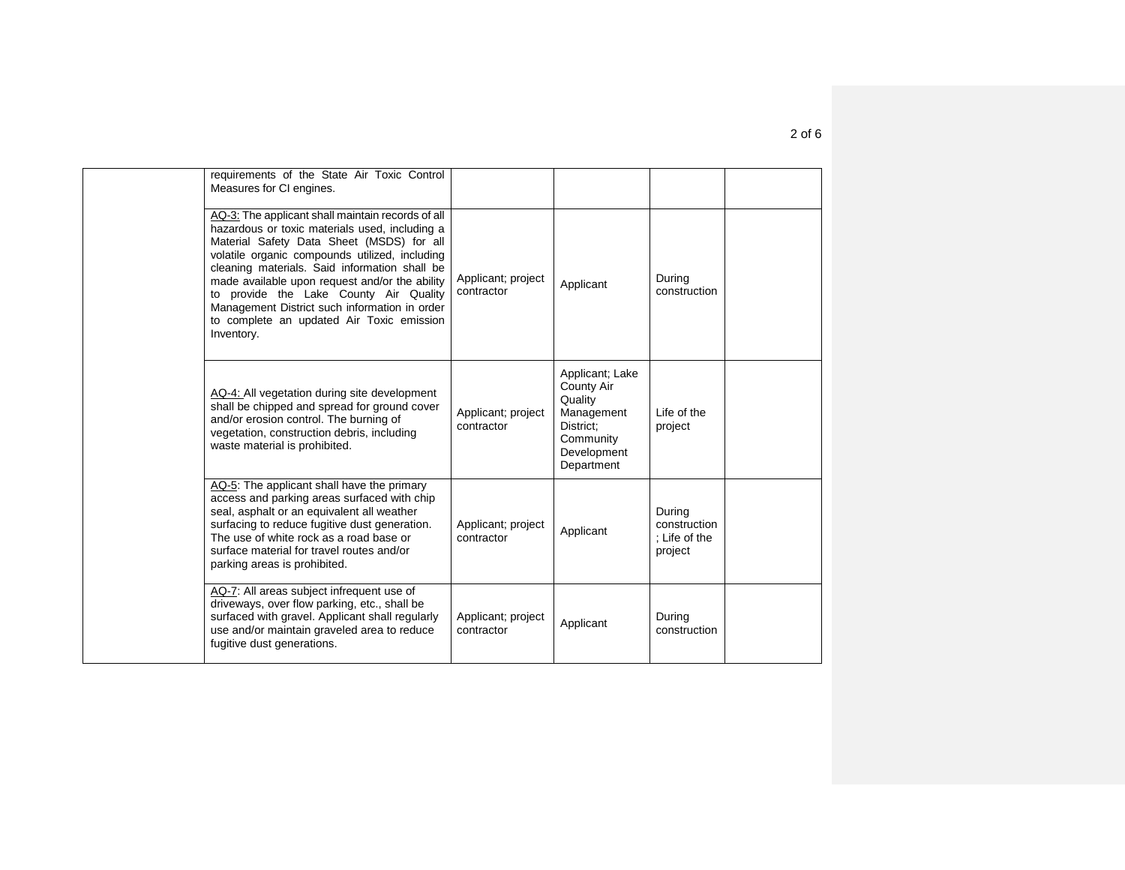| requirements of the State Air Toxic Control<br>Measures for CI engines.                                                                                                                                                                                                                                                                                                                                                                                     |                                  |                                                                                                                      |                                                    |  |
|-------------------------------------------------------------------------------------------------------------------------------------------------------------------------------------------------------------------------------------------------------------------------------------------------------------------------------------------------------------------------------------------------------------------------------------------------------------|----------------------------------|----------------------------------------------------------------------------------------------------------------------|----------------------------------------------------|--|
| AQ-3: The applicant shall maintain records of all<br>hazardous or toxic materials used, including a<br>Material Safety Data Sheet (MSDS) for all<br>volatile organic compounds utilized, including<br>cleaning materials. Said information shall be<br>made available upon request and/or the ability<br>to provide the Lake County Air Quality<br>Management District such information in order<br>to complete an updated Air Toxic emission<br>Inventory. | Applicant; project<br>contractor | Applicant                                                                                                            | During<br>construction                             |  |
| AQ-4: All vegetation during site development<br>shall be chipped and spread for ground cover<br>and/or erosion control. The burning of<br>vegetation, construction debris, including<br>waste material is prohibited.                                                                                                                                                                                                                                       | Applicant; project<br>contractor | Applicant; Lake<br><b>County Air</b><br>Quality<br>Management<br>District:<br>Community<br>Development<br>Department | Life of the<br>project                             |  |
| AQ-5: The applicant shall have the primary<br>access and parking areas surfaced with chip<br>seal, asphalt or an equivalent all weather<br>surfacing to reduce fugitive dust generation.<br>The use of white rock as a road base or<br>surface material for travel routes and/or<br>parking areas is prohibited.                                                                                                                                            | Applicant; project<br>contractor | Applicant                                                                                                            | During<br>construction<br>; Life of the<br>project |  |
| AQ-7: All areas subject infrequent use of<br>driveways, over flow parking, etc., shall be<br>surfaced with gravel. Applicant shall regularly<br>use and/or maintain graveled area to reduce<br>fugitive dust generations.                                                                                                                                                                                                                                   | Applicant; project<br>contractor | Applicant                                                                                                            | During<br>construction                             |  |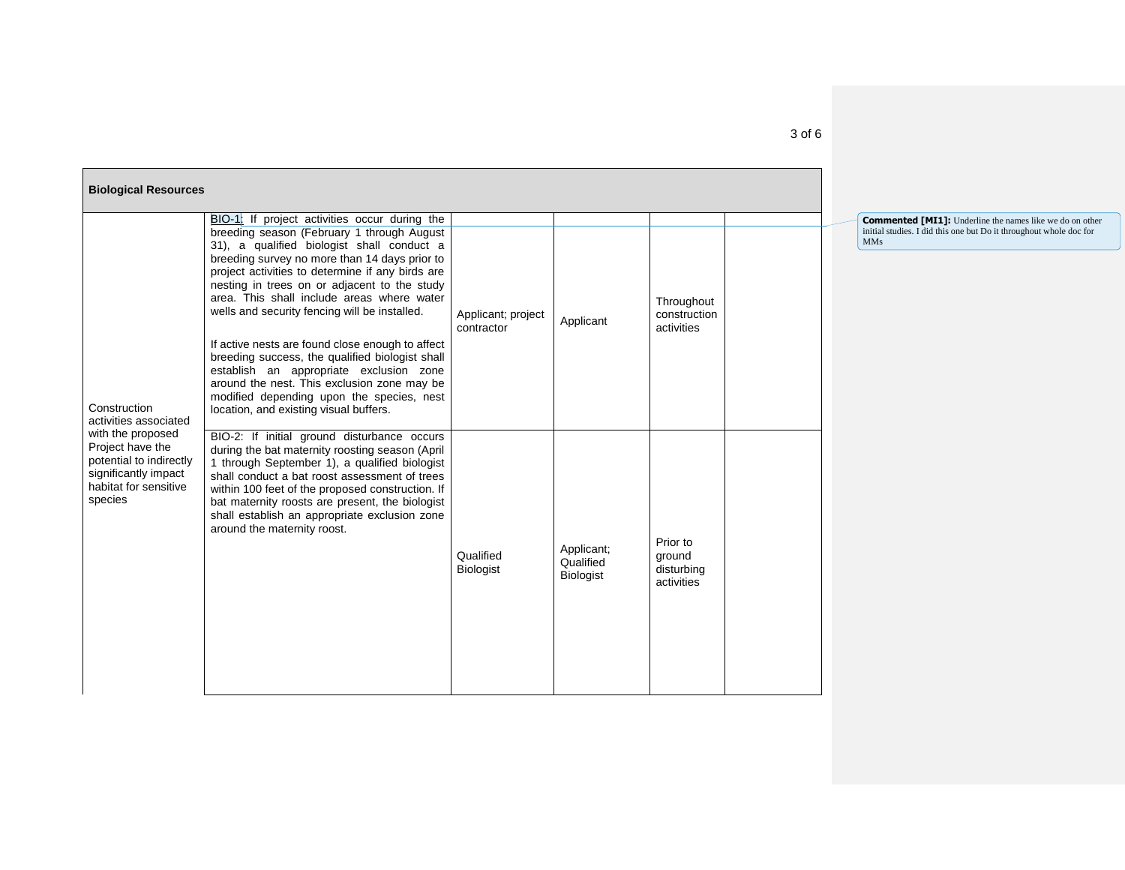| <b>Biological Resources</b>                                                                                                  |                                                                                                                                                                                                                                                                                                                                                                                                                                                                                                                                                                                                                                                                                       |                                  |                                             |                                                |  |
|------------------------------------------------------------------------------------------------------------------------------|---------------------------------------------------------------------------------------------------------------------------------------------------------------------------------------------------------------------------------------------------------------------------------------------------------------------------------------------------------------------------------------------------------------------------------------------------------------------------------------------------------------------------------------------------------------------------------------------------------------------------------------------------------------------------------------|----------------------------------|---------------------------------------------|------------------------------------------------|--|
| Construction<br>activities associated                                                                                        | BIO-1: If project activities occur during the<br>breeding season (February 1 through August<br>31), a qualified biologist shall conduct a<br>breeding survey no more than 14 days prior to<br>project activities to determine if any birds are<br>nesting in trees on or adjacent to the study<br>area. This shall include areas where water<br>wells and security fencing will be installed.<br>If active nests are found close enough to affect<br>breeding success, the qualified biologist shall<br>establish an appropriate exclusion zone<br>around the nest. This exclusion zone may be<br>modified depending upon the species, nest<br>location, and existing visual buffers. | Applicant; project<br>contractor | Applicant                                   | Throughout<br>construction<br>activities       |  |
| with the proposed<br>Project have the<br>potential to indirectly<br>significantly impact<br>habitat for sensitive<br>species | BIO-2: If initial ground disturbance occurs<br>during the bat maternity roosting season (April<br>1 through September 1), a qualified biologist<br>shall conduct a bat roost assessment of trees<br>within 100 feet of the proposed construction. If<br>bat maternity roosts are present, the biologist<br>shall establish an appropriate exclusion zone<br>around the maternity roost.                                                                                                                                                                                                                                                                                               | Qualified<br><b>Biologist</b>    | Applicant;<br>Qualified<br><b>Biologist</b> | Prior to<br>ground<br>disturbing<br>activities |  |

**Commented [MI1]:** Underline the names like we do on other initial studies. I did this one but Do it throughout whole doc for MMs

## 3 of 6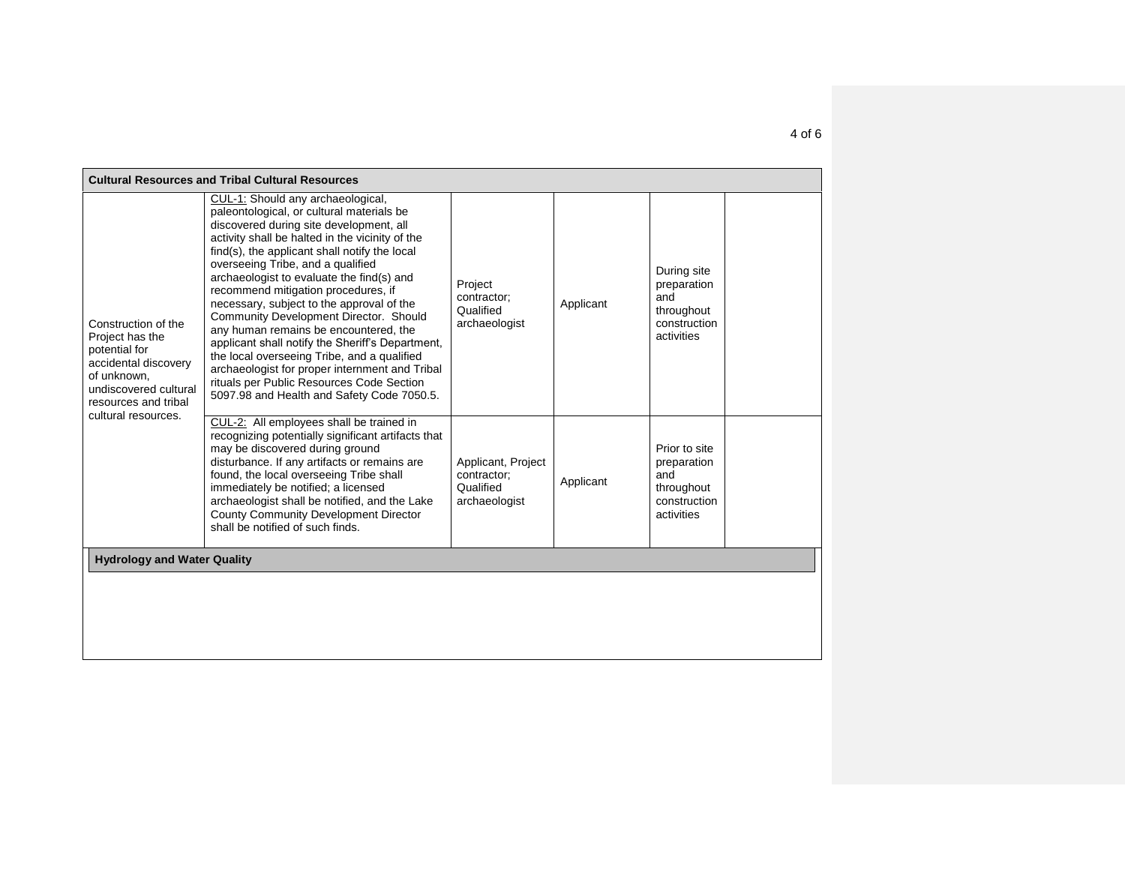| <b>Cultural Resources and Tribal Cultural Resources</b>                                                                                                                |                                                                                                                                                                                                                                                                                                                                                                                                                                                                                                                                                                                                                                                                                                                                        |                                                                 |           |                                                                                 |  |  |  |
|------------------------------------------------------------------------------------------------------------------------------------------------------------------------|----------------------------------------------------------------------------------------------------------------------------------------------------------------------------------------------------------------------------------------------------------------------------------------------------------------------------------------------------------------------------------------------------------------------------------------------------------------------------------------------------------------------------------------------------------------------------------------------------------------------------------------------------------------------------------------------------------------------------------------|-----------------------------------------------------------------|-----------|---------------------------------------------------------------------------------|--|--|--|
| Construction of the<br>Project has the<br>potential for<br>accidental discovery<br>of unknown,<br>undiscovered cultural<br>resources and tribal<br>cultural resources. | CUL-1: Should any archaeological,<br>paleontological, or cultural materials be<br>discovered during site development, all<br>activity shall be halted in the vicinity of the<br>find(s), the applicant shall notify the local<br>overseeing Tribe, and a qualified<br>archaeologist to evaluate the find(s) and<br>recommend mitigation procedures, if<br>necessary, subject to the approval of the<br>Community Development Director. Should<br>any human remains be encountered, the<br>applicant shall notify the Sheriff's Department,<br>the local overseeing Tribe, and a qualified<br>archaeologist for proper internment and Tribal<br>rituals per Public Resources Code Section<br>5097.98 and Health and Safety Code 7050.5. | Project<br>contractor;<br>Qualified<br>archaeologist            | Applicant | During site<br>preparation<br>and<br>throughout<br>construction<br>activities   |  |  |  |
|                                                                                                                                                                        | CUL-2: All employees shall be trained in<br>recognizing potentially significant artifacts that<br>may be discovered during ground<br>disturbance. If any artifacts or remains are<br>found, the local overseeing Tribe shall<br>immediately be notified; a licensed<br>archaeologist shall be notified, and the Lake<br>County Community Development Director<br>shall be notified of such finds.                                                                                                                                                                                                                                                                                                                                      | Applicant, Project<br>contractor;<br>Qualified<br>archaeologist | Applicant | Prior to site<br>preparation<br>and<br>throughout<br>construction<br>activities |  |  |  |
| <b>Hydrology and Water Quality</b>                                                                                                                                     |                                                                                                                                                                                                                                                                                                                                                                                                                                                                                                                                                                                                                                                                                                                                        |                                                                 |           |                                                                                 |  |  |  |
|                                                                                                                                                                        |                                                                                                                                                                                                                                                                                                                                                                                                                                                                                                                                                                                                                                                                                                                                        |                                                                 |           |                                                                                 |  |  |  |
|                                                                                                                                                                        |                                                                                                                                                                                                                                                                                                                                                                                                                                                                                                                                                                                                                                                                                                                                        |                                                                 |           |                                                                                 |  |  |  |
|                                                                                                                                                                        |                                                                                                                                                                                                                                                                                                                                                                                                                                                                                                                                                                                                                                                                                                                                        |                                                                 |           |                                                                                 |  |  |  |

4 of 6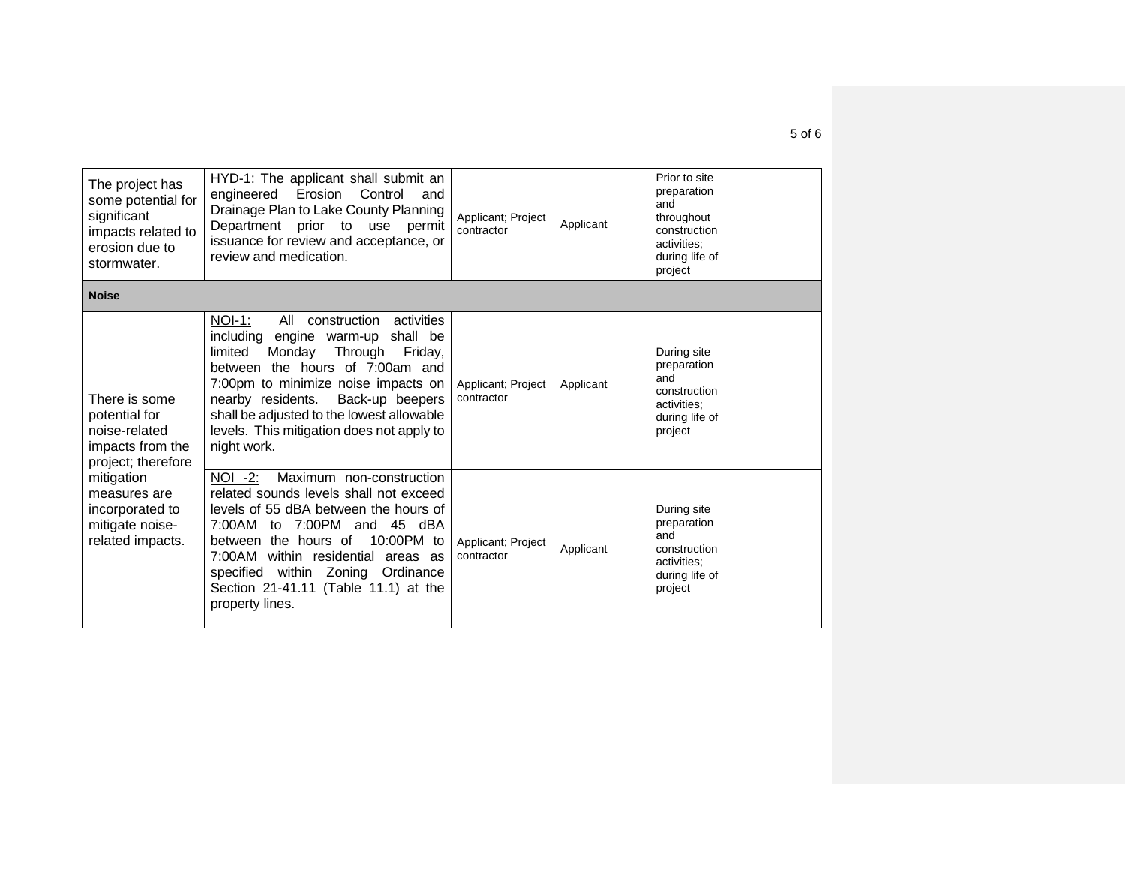| The project has<br>some potential for<br>significant<br>impacts related to<br>erosion due to<br>stormwater. | HYD-1: The applicant shall submit an<br>Erosion<br>engineered<br>Control<br>and<br>Drainage Plan to Lake County Planning<br>Department prior to use permit<br>issuance for review and acceptance, or<br>review and medication.                                                                                                                               | Applicant; Project<br>contractor | Applicant | Prior to site<br>preparation<br>and<br>throughout<br>construction<br>activities:<br>during life of<br>project |  |
|-------------------------------------------------------------------------------------------------------------|--------------------------------------------------------------------------------------------------------------------------------------------------------------------------------------------------------------------------------------------------------------------------------------------------------------------------------------------------------------|----------------------------------|-----------|---------------------------------------------------------------------------------------------------------------|--|
| <b>Noise</b>                                                                                                |                                                                                                                                                                                                                                                                                                                                                              |                                  |           |                                                                                                               |  |
| There is some<br>potential for<br>noise-related<br>impacts from the<br>project; therefore                   | $NOI-1$ :<br>All<br>construction<br>activities<br>engine warm-up shall be<br>including<br>limited<br>Monday<br>Through<br>Friday,<br>between the hours of 7:00am and<br>7:00pm to minimize noise impacts on<br>nearby residents.<br>Back-up beepers<br>shall be adjusted to the lowest allowable<br>levels. This mitigation does not apply to<br>night work. | Applicant; Project<br>contractor | Applicant | During site<br>preparation<br>and<br>construction<br>activities:<br>during life of<br>project                 |  |
| mitigation<br>measures are<br>incorporated to<br>mitigate noise-<br>related impacts.                        | NOI -2:<br>Maximum non-construction<br>related sounds levels shall not exceed<br>levels of 55 dBA between the hours of<br>7:00PM and 45 dBA<br>7:00AM<br>to<br>between the hours of 10:00PM to<br>7:00AM within residential areas as<br>specified within Zoning Ordinance<br>Section 21-41.11 (Table 11.1) at the<br>property lines.                         | Applicant; Project<br>contractor | Applicant | During site<br>preparation<br>and<br>construction<br>activities:<br>during life of<br>project                 |  |